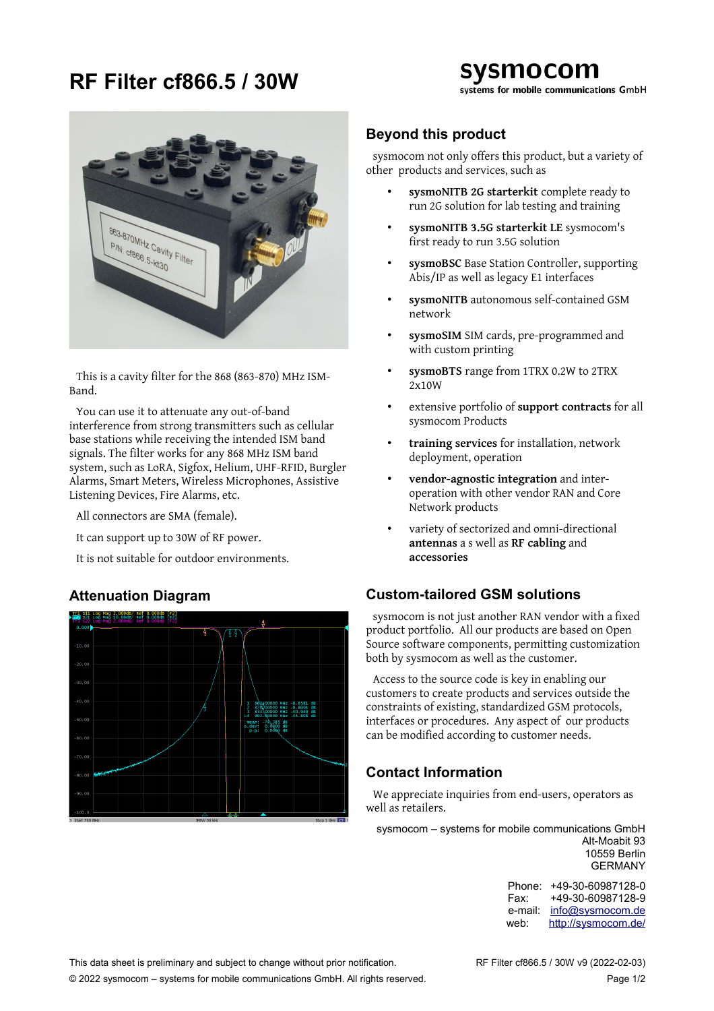# **RF Filter cf866.5 / 30W**



This is a cavity filter for the 868 (863-870) MHz ISM-Band.

You can use it to attenuate any out-of-band interference from strong transmitters such as cellular base stations while receiving the intended ISM band signals. The filter works for any 868 MHz ISM band system, such as LoRA, Sigfox, Helium, UHF-RFID, Burgler Alarms, Smart Meters, Wireless Microphones, Assistive Listening Devices, Fire Alarms, etc.

All connectors are SMA (female).

It can support up to 30W of RF power.

It is not suitable for outdoor environments.

# **Attenuation Diagram**



### **Beyond this product**

sysmocom not only offers this product, but a variety of other products and services, such as

- **sysmoNITB 2G starterkit** complete ready to run 2G solution for lab testing and training
- **sysmoNITB 3.5G starterkit LE** sysmocom's first ready to run 3.5G solution
- **sysmoBSC** Base Station Controller, supporting Abis/IP as well as legacy E1 interfaces
- **sysmoNITB** autonomous self-contained GSM network
- **sysmoSIM** SIM cards, pre-programmed and with custom printing
- **sysmoBTS** range from 1TRX 0.2W to 2TRX 2x10W
- extensive portfolio of **support contracts** for all sysmocom Products
- **training services** for installation, network deployment, operation
- **vendor-agnostic integration** and interoperation with other vendor RAN and Core Network products
- variety of sectorized and omni-directional **antennas** a s well as **RF cabling** and **accessories**

### **Custom-tailored GSM solutions**

sysmocom is not just another RAN vendor with a fixed product portfolio. All our products are based on Open Source software components, permitting customization both by sysmocom as well as the customer.

Access to the source code is key in enabling our customers to create products and services outside the constraints of existing, standardized GSM protocols, interfaces or procedures. Any aspect of our products can be modified according to customer needs.

# **Contact Information**

We appreciate inquiries from end-users, operators as well as retailers.

sysmocom – systems for mobile communications GmbH Alt-Moabit 93 10559 Berlin GERMANY

> Phone: +49-30-60987128-0 Fax: +49-30-60987128-9 e-mail: [info@sysmocom.de](mailto:info@sysmocom.de) web: <http://sysmocom.de/>

This data sheet is preliminary and subject to change without prior notification. RF Filter cf866.5 / 30W v9 (2022-02-03)